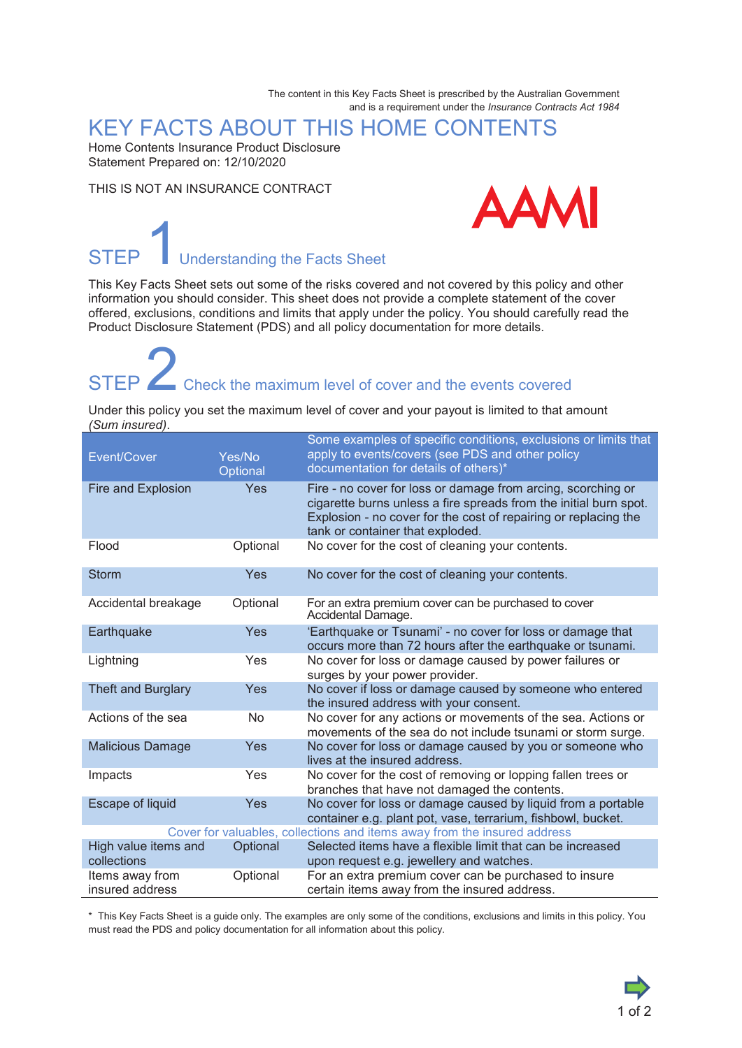The content in this Key Facts Sheet is prescribed by the Australian Government and is a requirement under the *Insurance Contracts Act 1984*

### KEY FACTS ABOUT THIS HOME CONTENTS

Home Contents Insurance Product Disclosure Statement Prepared on: 12/10/2020

THIS IS NOT AN INSURANCE CONTRACT



# STEP **I**Understanding the Facts Sheet

This Key Facts Sheet sets out some of the risks covered and not covered by this policy and other information you should consider. This sheet does not provide a complete statement of the cover offered, exclusions, conditions and limits that apply under the policy. You should carefully read the Product Disclosure Statement (PDS) and all policy documentation for more details.

# STEP  $\angle$  Check the maximum level of cover and the events covered

Under this policy you set the maximum level of cover and your payout is limited to that amount *(Sum insured)*.

| Event/Cover                                                              | Yes/No<br>Optional | Some examples of specific conditions, exclusions or limits that<br>apply to events/covers (see PDS and other policy<br>documentation for details of others)*                                                                             |
|--------------------------------------------------------------------------|--------------------|------------------------------------------------------------------------------------------------------------------------------------------------------------------------------------------------------------------------------------------|
| Fire and Explosion                                                       | Yes                | Fire - no cover for loss or damage from arcing, scorching or<br>cigarette burns unless a fire spreads from the initial burn spot.<br>Explosion - no cover for the cost of repairing or replacing the<br>tank or container that exploded. |
| Flood                                                                    | Optional           | No cover for the cost of cleaning your contents.                                                                                                                                                                                         |
| <b>Storm</b>                                                             | Yes                | No cover for the cost of cleaning your contents.                                                                                                                                                                                         |
| Accidental breakage                                                      | Optional           | For an extra premium cover can be purchased to cover<br>Accidental Damage.                                                                                                                                                               |
| Earthquake                                                               | Yes                | 'Earthquake or Tsunami' - no cover for loss or damage that<br>occurs more than 72 hours after the earthquake or tsunami.                                                                                                                 |
| Lightning                                                                | Yes                | No cover for loss or damage caused by power failures or<br>surges by your power provider.                                                                                                                                                |
| Theft and Burglary                                                       | Yes                | No cover if loss or damage caused by someone who entered<br>the insured address with your consent.                                                                                                                                       |
| Actions of the sea                                                       | No.                | No cover for any actions or movements of the sea. Actions or<br>movements of the sea do not include tsunami or storm surge.                                                                                                              |
| <b>Malicious Damage</b>                                                  | Yes                | No cover for loss or damage caused by you or someone who<br>lives at the insured address.                                                                                                                                                |
| Impacts                                                                  | Yes                | No cover for the cost of removing or lopping fallen trees or<br>branches that have not damaged the contents.                                                                                                                             |
| <b>Escape of liquid</b>                                                  | <b>Yes</b>         | No cover for loss or damage caused by liquid from a portable<br>container e.g. plant pot, vase, terrarium, fishbowl, bucket.                                                                                                             |
| Cover for valuables, collections and items away from the insured address |                    |                                                                                                                                                                                                                                          |
| High value items and<br>collections                                      | Optional           | Selected items have a flexible limit that can be increased<br>upon request e.g. jewellery and watches.                                                                                                                                   |
| Items away from<br>insured address                                       | Optional           | For an extra premium cover can be purchased to insure<br>certain items away from the insured address.                                                                                                                                    |

\* This Key Facts Sheet is a guide only. The examples are only some of the conditions, exclusions and limits in this policy. You must read the PDS and policy documentation for all information about this policy.